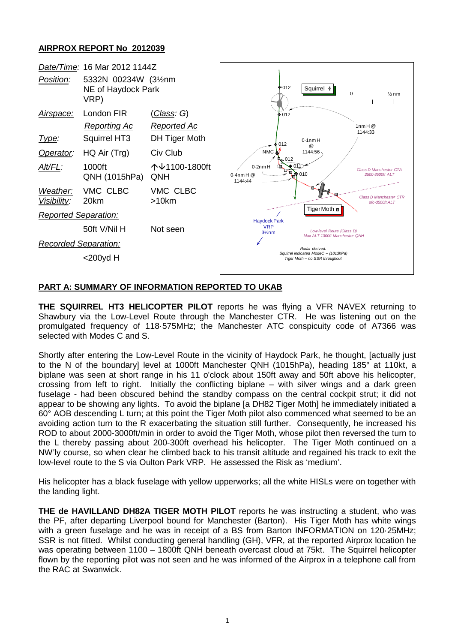## **AIRPROX REPORT No 2012039**



## **PART A: SUMMARY OF INFORMATION REPORTED TO UKAB**

**THE SQUIRREL HT3 HELICOPTER PILOT** reports he was flying a VFR NAVEX returning to Shawbury via the Low-Level Route through the Manchester CTR. He was listening out on the promulgated frequency of 118·575MHz; the Manchester ATC conspicuity code of A7366 was selected with Modes C and S.

Shortly after entering the Low-Level Route in the vicinity of Haydock Park, he thought, [actually just to the N of the boundary] level at 1000ft Manchester QNH (1015hPa), heading 185° at 110kt, a biplane was seen at short range in his 11 o'clock about 150ft away and 50ft above his helicopter, crossing from left to right. Initially the conflicting biplane – with silver wings and a dark green fuselage - had been obscured behind the standby compass on the central cockpit strut; it did not appear to be showing any lights. To avoid the biplane [a DH82 Tiger Moth] he immediately initiated a 60° AOB descending L turn; at this point the Tiger Moth pilot also commenced what seemed to be an avoiding action turn to the R exacerbating the situation still further. Consequently, he increased his ROD to about 2000-3000ft/min in order to avoid the Tiger Moth, whose pilot then reversed the turn to the L thereby passing about 200-300ft overhead his helicopter. The Tiger Moth continued on a NW'ly course, so when clear he climbed back to his transit altitude and regained his track to exit the low-level route to the S via Oulton Park VRP. He assessed the Risk as 'medium'.

His helicopter has a black fuselage with yellow upperworks; all the white HISLs were on together with the landing light.

**THE de HAVILLAND DH82A TIGER MOTH PILOT** reports he was instructing a student, who was the PF, after departing Liverpool bound for Manchester (Barton). His Tiger Moth has white wings with a green fuselage and he was in receipt of a BS from Barton INFORMATION on 120·25MHz; SSR is not fitted. Whilst conducting general handling (GH), VFR, at the reported Airprox location he was operating between 1100 – 1800ft QNH beneath overcast cloud at 75kt. The Squirrel helicopter flown by the reporting pilot was not seen and he was informed of the Airprox in a telephone call from the RAC at Swanwick.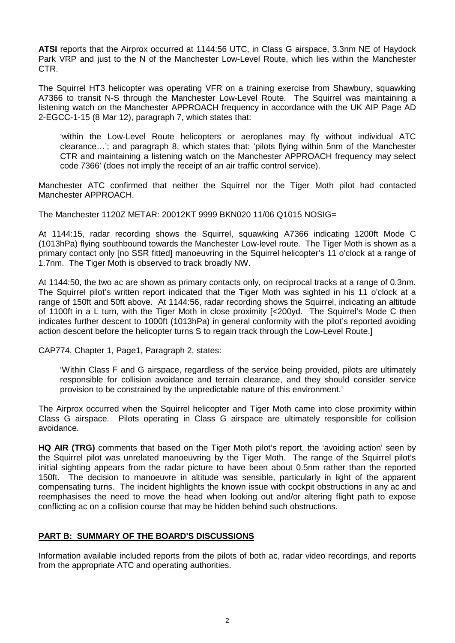**ATSI** reports that the Airprox occurred at 1144:56 UTC, in Class G airspace, 3.3nm NE of Haydock Park VRP and just to the N of the Manchester Low-Level Route, which lies within the Manchester CTR.

The Squirrel HT3 helicopter was operating VFR on a training exercise from Shawbury, squawking A7366 to transit N-S through the Manchester Low-Level Route. The Squirrel was maintaining a listening watch on the Manchester APPROACH frequency in accordance with the UK AIP Page AD 2-EGCC-1-15 (8 Mar 12), paragraph 7, which states that:

'within the Low-Level Route helicopters or aeroplanes may fly without individual ATC clearance…'; and paragraph 8, which states that: 'pilots flying within 5nm of the Manchester CTR and maintaining a listening watch on the Manchester APPROACH frequency may select code 7366' (does not imply the receipt of an air traffic control service).

Manchester ATC confirmed that neither the Squirrel nor the Tiger Moth pilot had contacted Manchester APPROACH.

The Manchester 1120Z METAR: 20012KT 9999 BKN020 11/06 Q1015 NOSIG=

At 1144:15, radar recording shows the Squirrel, squawking A7366 indicating 1200ft Mode C (1013hPa) flying southbound towards the Manchester Low-level route. The Tiger Moth is shown as a primary contact only [no SSR fitted] manoeuvring in the Squirrel helicopter's 11 o'clock at a range of 1.7nm. The Tiger Moth is observed to track broadly NW.

At 1144:50, the two ac are shown as primary contacts only, on reciprocal tracks at a range of 0.3nm. The Squirrel pilot's written report indicated that the Tiger Moth was sighted in his 11 o'clock at a range of 150ft and 50ft above. At 1144:56, radar recording shows the Squirrel, indicating an altitude of 1100ft in a L turn, with the Tiger Moth in close proximity [<200yd. The Squirrel's Mode C then indicates further descent to 1000ft (1013hPa) in general conformity with the pilot's reported avoiding action descent before the helicopter turns S to regain track through the Low-Level Route.]

CAP774, Chapter 1, Page1, Paragraph 2, states:

'Within Class F and G airspace, regardless of the service being provided, pilots are ultimately responsible for collision avoidance and terrain clearance, and they should consider service provision to be constrained by the unpredictable nature of this environment.'

The Airprox occurred when the Squirrel helicopter and Tiger Moth came into close proximity within Class G airspace. Pilots operating in Class G airspace are ultimately responsible for collision avoidance.

**HQ AIR (TRG)** comments that based on the Tiger Moth pilot's report, the 'avoiding action' seen by the Squirrel pilot was unrelated manoeuvring by the Tiger Moth. The range of the Squirrel pilot's initial sighting appears from the radar picture to have been about 0.5nm rather than the reported 150ft. The decision to manoeuvre in altitude was sensible, particularly in light of the apparent compensating turns. The incident highlights the known issue with cockpit obstructions in any ac and reemphasises the need to move the head when looking out and/or altering flight path to expose conflicting ac on a collision course that may be hidden behind such obstructions.

## **PART B: SUMMARY OF THE BOARD'S DISCUSSIONS**

Information available included reports from the pilots of both ac, radar video recordings, and reports from the appropriate ATC and operating authorities.